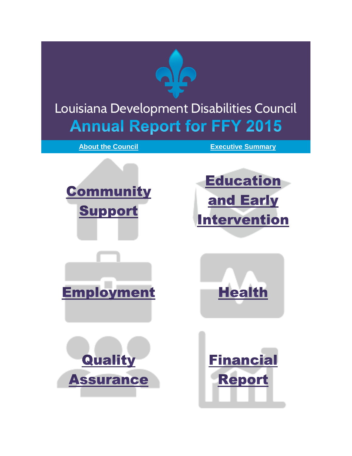

# <span id="page-0-0"></span>Louisiana Development Disabilities Council **Annual Report for FFY 2015**

**[About the Council](http://www.laddc.org/content.cfm?id=277) [Executive Summary](#page-1-0)**

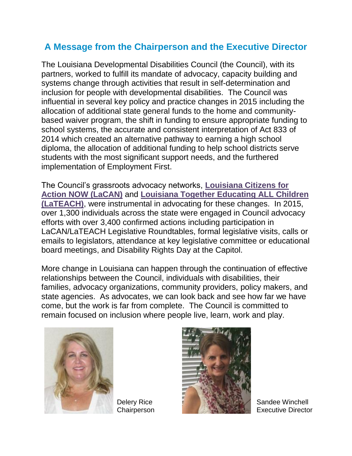#### <span id="page-1-0"></span>**A Message from the Chairperson and the Executive Director**

The Louisiana Developmental Disabilities Council (the Council), with its partners, worked to fulfill its mandate of advocacy, capacity building and systems change through activities that result in self-determination and inclusion for people with developmental disabilities. The Council was influential in several key policy and practice changes in 2015 including the allocation of additional state general funds to the home and communitybased waiver program, the shift in funding to ensure appropriate funding to school systems, the accurate and consistent interpretation of Act 833 of 2014 which created an alternative pathway to earning a high school diploma, the allocation of additional funding to help school districts serve students with the most significant support needs, and the furthered implementation of Employment First.

The Council's grassroots advocacy networks, **[Louisiana Citizens for](http://laddc.org/initiatives.cfm?id=11&aid=6)  [Action NOW \(LaCAN\)](http://laddc.org/initiatives.cfm?id=11&aid=6)** and **[Louisiana Together Educating ALL Children](http://www.laddc.org/initiatives.cfm?id=27&aid=2)  [\(LaTEACH\)](http://www.laddc.org/initiatives.cfm?id=27&aid=2)**, were instrumental in advocating for these changes. In 2015, over 1,300 individuals across the state were engaged in Council advocacy efforts with over 3,400 confirmed actions including participation in LaCAN/LaTEACH Legislative Roundtables, formal legislative visits, calls or emails to legislators, attendance at key legislative committee or educational board meetings, and Disability Rights Day at the Capitol.

More change in Louisiana can happen through the continuation of effective relationships between the Council, individuals with disabilities, their families, advocacy organizations, community providers, policy makers, and state agencies. As advocates, we can look back and see how far we have come, but the work is far from complete. The Council is committed to remain focused on inclusion where people live, learn, work and play.



Delery Rice **Chairperson** 



Sandee Winchell Executive Director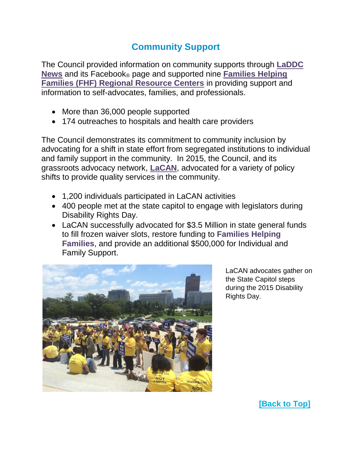# **Community Support**

The Council provided information on community supports through **[LaDDC](http://laddc.org/content.cfm?id=512)  [News](http://laddc.org/content.cfm?id=512)** and its Facebook® page and supported nine **[Families Helping](http://laddc.org/initiatives.cfm?id=9&aid=6)  [Families \(FHF\) Regional Resource Centers](http://laddc.org/initiatives.cfm?id=9&aid=6)** in providing support and information to self-advocates, families, and professionals.

- More than 36,000 people supported
- 174 outreaches to hospitals and health care providers

The Council demonstrates its commitment to community inclusion by advocating for a shift in state effort from segregated institutions to individual and family support in the community. In 2015, the Council, and its grassroots advocacy network, **[LaCAN](http://laddc.org/initiatives.cfm?id=11&aid=6)**, advocated for a variety of policy shifts to provide quality services in the community.

- 1,200 individuals participated in LaCAN activities
- 400 people met at the state capitol to engage with legislators during Disability Rights Day.
- LaCAN successfully advocated for \$3.5 Million in state general funds to fill frozen waiver slots, restore funding to **Families Helping Families**, and provide an additional \$500,000 for Individual and Family Support.



LaCAN advocates gather on the State Capitol steps during the 2015 Disability Rights Day.

**[\[Back to Top\]](#page-0-0)**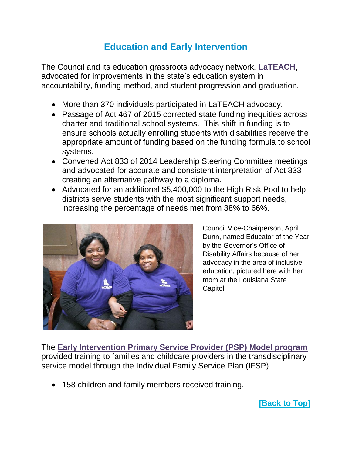## **Education and Early Intervention**

The Council and its education grassroots advocacy network, **[LaTEACH](http://www.laddc.org/initiatives.cfm?id=27&aid=2)**, advocated for improvements in the state's education system in accountability, funding method, and student progression and graduation.

- More than 370 individuals participated in LaTEACH advocacy.
- Passage of Act 467 of 2015 corrected state funding inequities across charter and traditional school systems. This shift in funding is to ensure schools actually enrolling students with disabilities receive the appropriate amount of funding based on the funding formula to school systems.
- Convened Act 833 of 2014 Leadership Steering Committee meetings and advocated for accurate and consistent interpretation of Act 833 creating an alternative pathway to a diploma.
- Advocated for an additional \$5,400,000 to the High Risk Pool to help districts serve students with the most significant support needs, increasing the percentage of needs met from 38% to 66%.



Council Vice-Chairperson, April Dunn, named Educator of the Year by the Governor's Office of Disability Affairs because of her advocacy in the area of inclusive education, pictured here with her mom at the Louisiana State Capitol.

The **[Early Intervention Primary Service Provider \(PSP\) Model program](http://www.laddc.org/initiatives.cfm?id=52&aid=2)** provided training to families and childcare providers in the transdisciplinary service model through the Individual Family Service Plan (IFSP).

• 158 children and family members received training.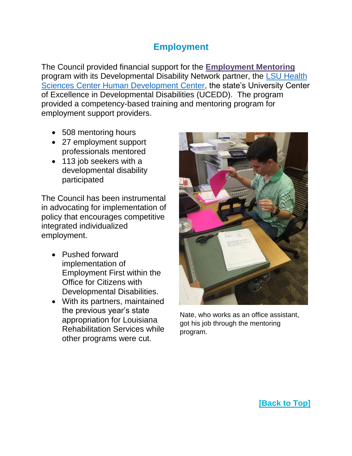#### **Employment**

The Council provided financial support for the **[Employment Mentoring](http://www.laddc.org/initiatives.cfm?id=53&aid=3)** program with its Developmental Disability Network partner, the [LSU Health](http://www.hdc.lsuhsc.edu/)  [Sciences Center Human Development Center,](http://www.hdc.lsuhsc.edu/) the state's University Center of Excellence in Developmental Disabilities (UCEDD). The program provided a competency-based training and mentoring program for employment support providers.

- 508 mentoring hours
- 27 employment support professionals mentored
- 113 job seekers with a developmental disability participated

The Council has been instrumental in advocating for implementation of policy that encourages competitive integrated individualized employment.

- Pushed forward implementation of Employment First within the Office for Citizens with Developmental Disabilities.
- With its partners, maintained the previous year's state appropriation for Louisiana Rehabilitation Services while other programs were cut.



Nate, who works as an office assistant, got his job through the mentoring program.

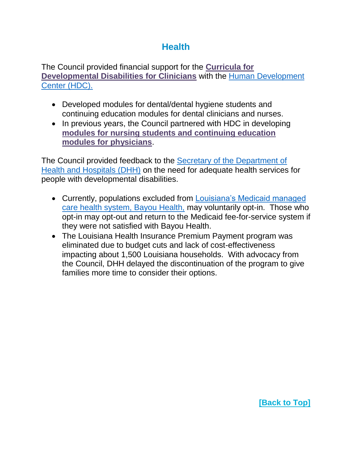### **Health**

The Council provided financial support for the **[Curricula for](http://www.laddc.org/initiatives.cfm?id=58&aid=5)  [Developmental Disabilities for Clinicians](http://www.laddc.org/initiatives.cfm?id=58&aid=5)** with the [Human Development](http://www.hdc.lsuhsc.edu/)  [Center \(HDC\).](http://www.hdc.lsuhsc.edu/)

- Developed modules for dental/dental hygiene students and continuing education modules for dental clinicians and nurses.
- In previous years, the Council partnered with HDC in developing **[modules for nursing students and continuing education](http://www.laddc.org/initiatives.cfm?id=38&aid=5)  [modules for physicians](http://www.laddc.org/initiatives.cfm?id=38&aid=5)**.

The Council provided feedback to the [Secretary of the Department of](http://new.dhh.louisiana.gov/index.cfm/subhome/4/n/316)  [Health and Hospitals \(DHH\)](http://new.dhh.louisiana.gov/index.cfm/subhome/4/n/316) on the need for adequate health services for people with developmental disabilities.

- Currently, populations excluded from [Louisiana's Medicaid managed](http://new.dhh.louisiana.gov/index.cfm/subhome/6/n/70)  [care health system, Bayou Health,](http://new.dhh.louisiana.gov/index.cfm/subhome/6/n/70) may voluntarily opt-in. Those who opt-in may opt-out and return to the Medicaid fee-for-service system if they were not satisfied with Bayou Health.
- The Louisiana Health Insurance Premium Payment program was eliminated due to budget cuts and lack of cost-effectiveness impacting about 1,500 Louisiana households. With advocacy from the Council, DHH delayed the discontinuation of the program to give families more time to consider their options.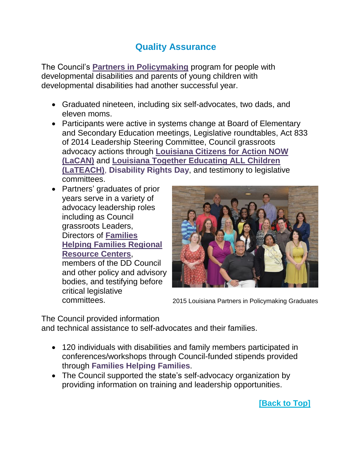## **Quality Assurance**

The Council's **[Partners in Policymaking](http://www.laddc.org/initiatives.cfm?id=8&aid=8)** program for people with developmental disabilities and parents of young children with developmental disabilities had another successful year.

- Graduated nineteen, including six self-advocates, two dads, and eleven moms.
- Participants were active in systems change at Board of Elementary and Secondary Education meetings, Legislative roundtables, Act 833 of 2014 Leadership Steering Committee, Council grassroots advocacy actions through **[Louisiana Citizens for Action NOW](http://www.laddc.org/initiatives.cfm?id=11&aid=6)  [\(LaCAN\)](http://www.laddc.org/initiatives.cfm?id=11&aid=6)** and **[Louisiana Together Educating ALL Children](http://www.laddc.org/initiatives.cfm?id=27&aid=2)  [\(LaTEACH\)](http://www.laddc.org/initiatives.cfm?id=27&aid=2)**, **Disability Rights Day**, and testimony to legislative committees.
- Partners' graduates of prior years serve in a variety of advocacy leadership roles including as Council grassroots Leaders, Directors of **[Families](http://www.laddc.org/initiatives.cfm?id=9&aid=6)  [Helping Families Regional](http://www.laddc.org/initiatives.cfm?id=9&aid=6)  [Resource Centers](http://www.laddc.org/initiatives.cfm?id=9&aid=6)**, members of the DD Council and other policy and advisory bodies, and testifying before critical legislative committees.



2015 Louisiana Partners in Policymaking Graduates

The Council provided information

and technical assistance to self-advocates and their families.

- 120 individuals with disabilities and family members participated in conferences/workshops through Council-funded stipends provided through **Families Helping Families**.
- The Council supported the state's self-advocacy organization by providing information on training and leadership opportunities.

**[\[Back to Top\]](#page-0-0)**